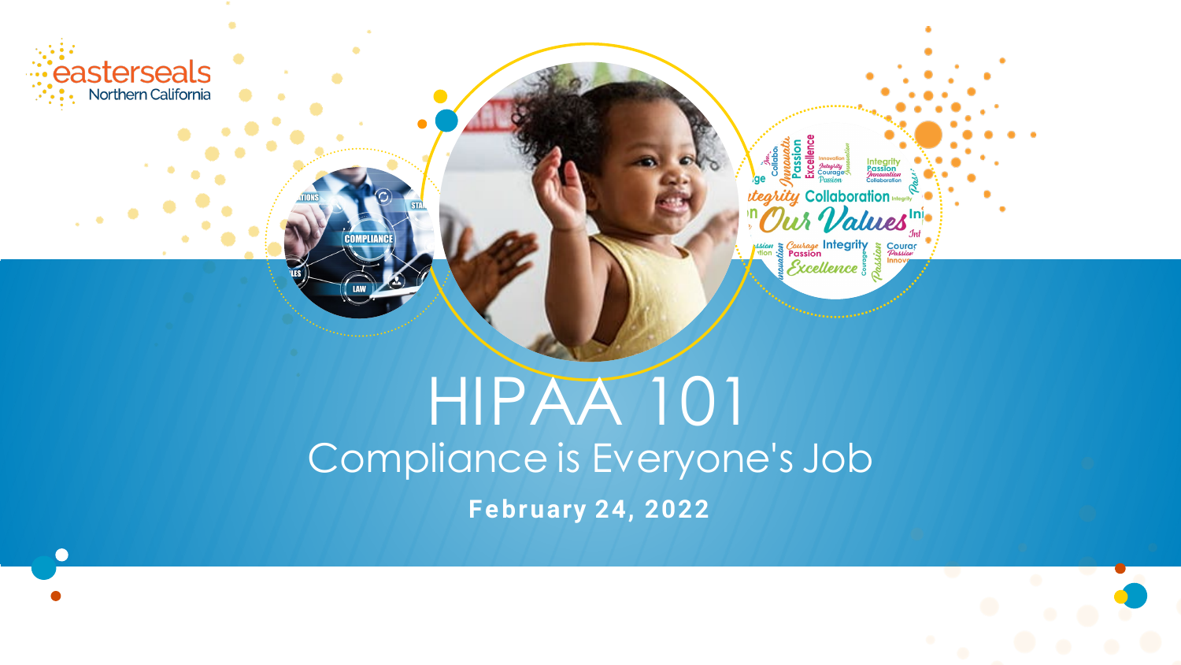

*tegrity* Collaboration Values ssion Scourage Integrity<br>
The Passion<br>
Scoellence

# HIPAA 101 Compliance is Everyone's Job **February 24, 2022**

**COMPLIAN** 

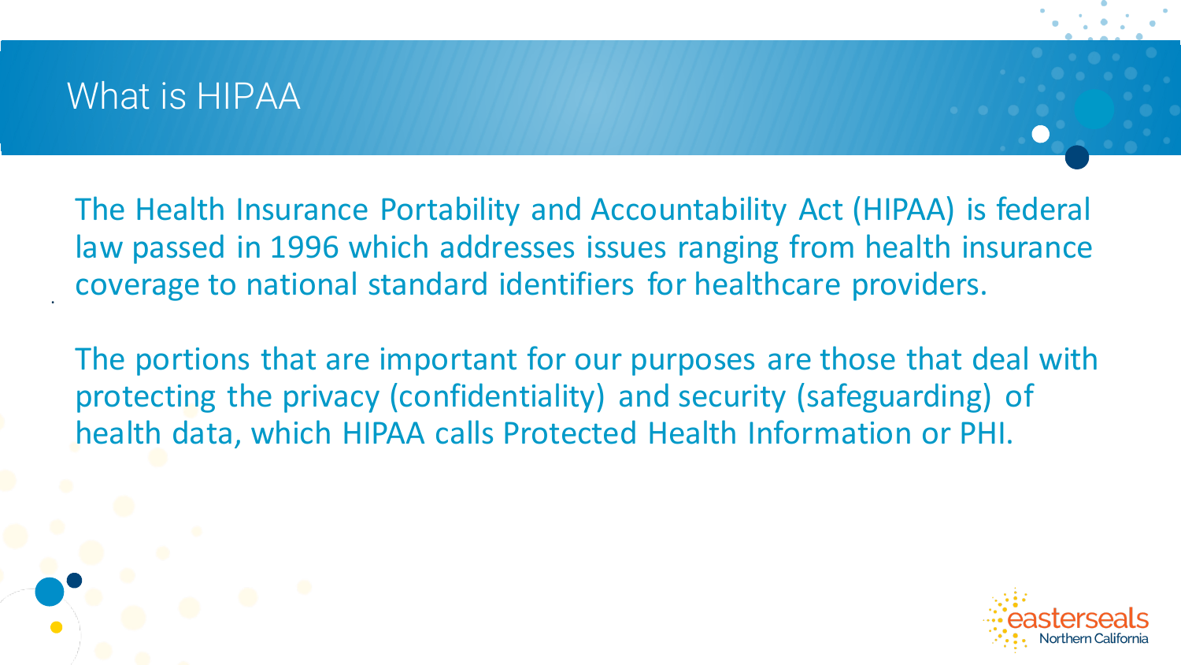### What is HIPAA

.

The Health Insurance Portability and Accountability Act (HIPAA) is federal law passed in 1996 which addresses issues ranging from health insurance coverage to national standard identifiers for healthcare providers.

The portions that are important for our purposes are those that deal with protecting the privacy (confidentiality) and security (safeguarding) of health data, which HIPAA calls Protected Health Information or PHI.

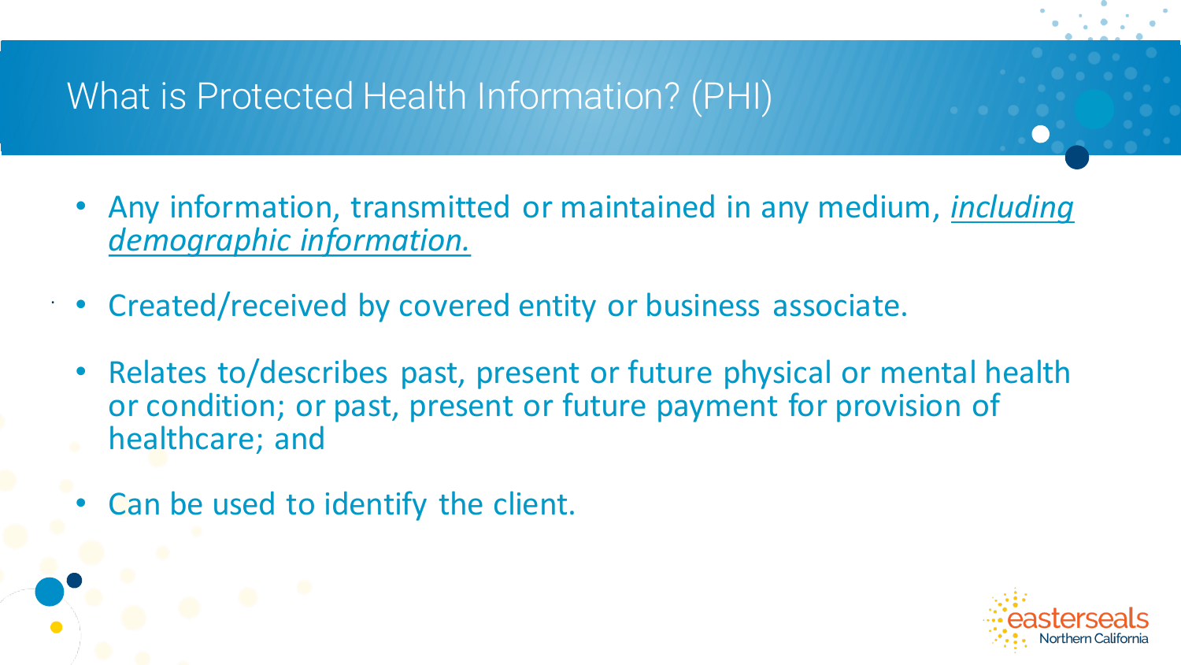## What is Protected Health Information? (PHI)

- Any information, transmitted or maintained in any medium, *including demographic information.*
- Created/received by covered entity or business associate.
- Relates to/describes past, present or future physical or mental health or condition; or past, present or future payment for provision of healthcare; and
- Can be used to identify the client.

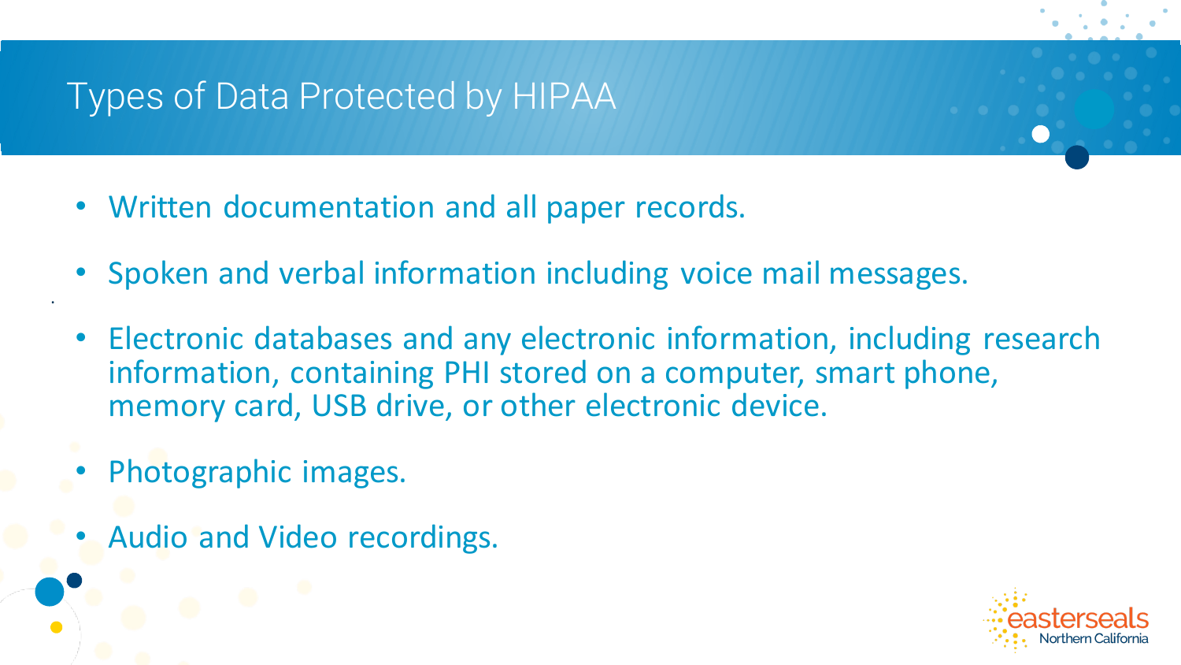## Types of Data Protected by HIPAA

- Written documentation and all paper records.
- Spoken and verbal information including voice mail messages.
- Electronic databases and any electronic information, including research information, containing PHI stored on a computer, smart phone, memory card, USB drive, or other electronic device.
- Photographic images.

.

• Audio and Video recordings.

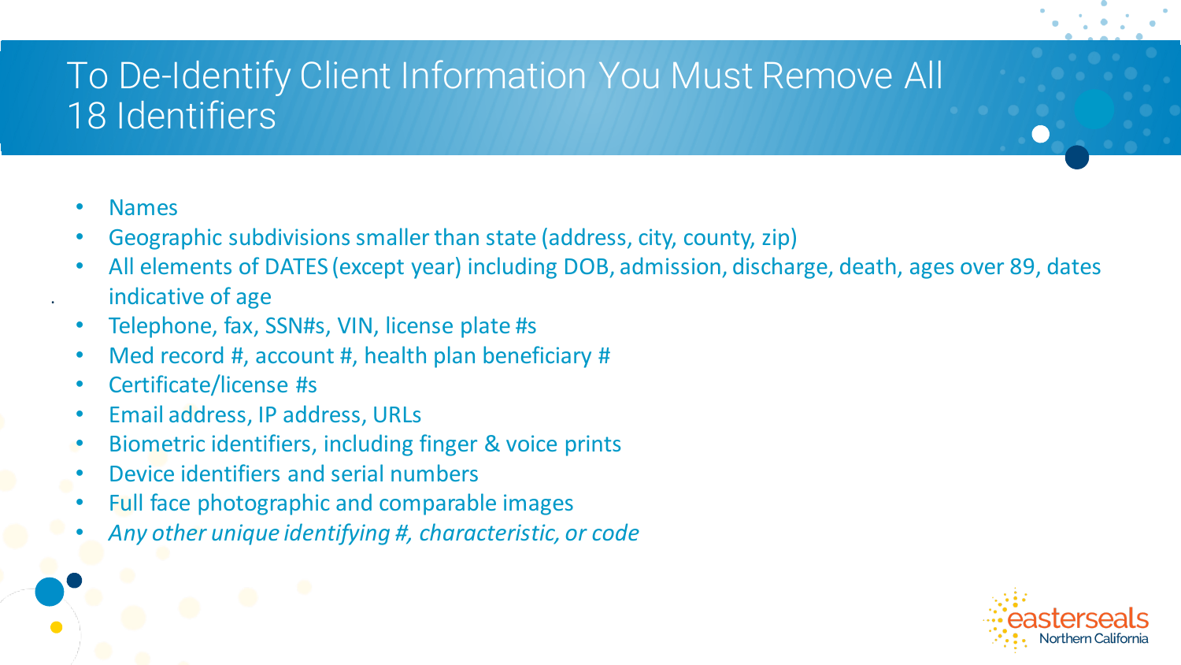# To De-Identify Client Information You Must Remove All 18 Identifiers

• Names

- Geographic subdivisions smaller than state (address, city, county, zip)
- All elements of DATES (except year) including DOB, admission, discharge, death, ages over 89, dates indicative of age
- Telephone, fax, SSN#s, VIN, license plate #s
- Med record #, account #, health plan beneficiary #
- Certificate/license #s
- Email address, IP address, URLs
- Biometric identifiers, including finger & voice prints
- Device identifiers and serial numbers
- Full face photographic and comparable images
- *Any other unique identifying #, characteristic, or code*

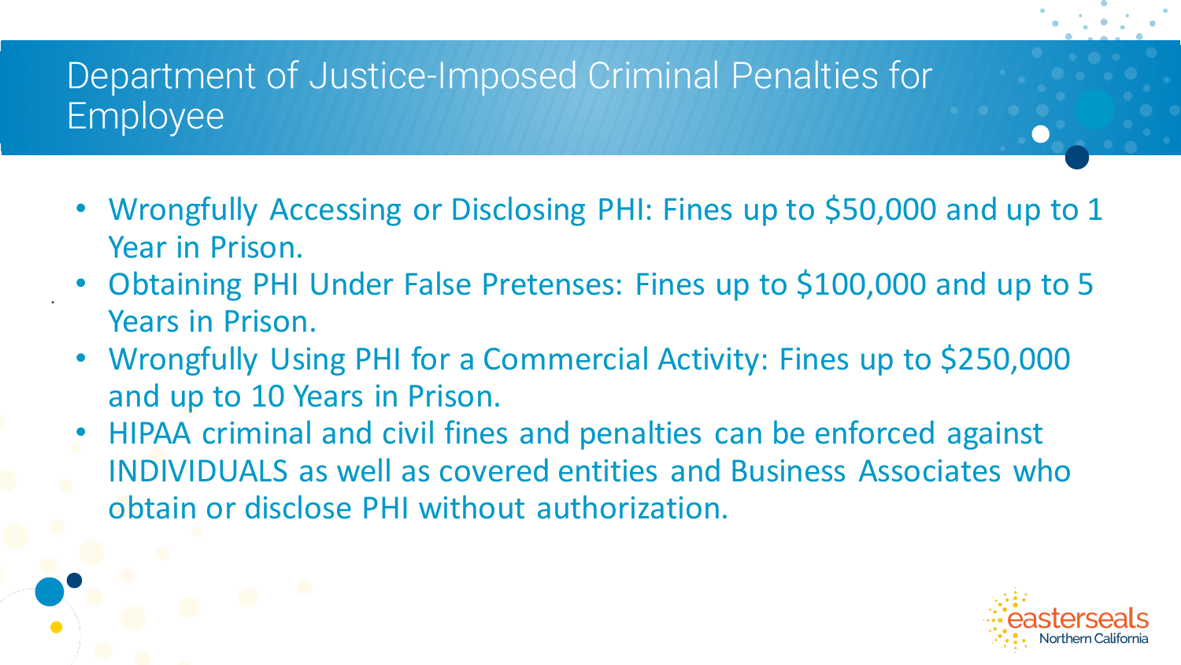# Department of Justice-Imposed Criminal Penalties for Employee

- Wrongfully Accessing or Disclosing PHI: Fines up to \$50,000 and up to 1 Year in Prison.
- Obtaining PHI Under False Pretenses: Fines up to \$100,000 and up to 5 Years in Prison.
- Wrongfully Using PHI for a Commercial Activity: Fines up to \$250,000 and up to 10 Years in Prison.
- HIPAA criminal and civil fines and penalties can be enforced against INDIVIDUALS as well as covered entities and Business Associates who obtain or disclose PHI without authorization.

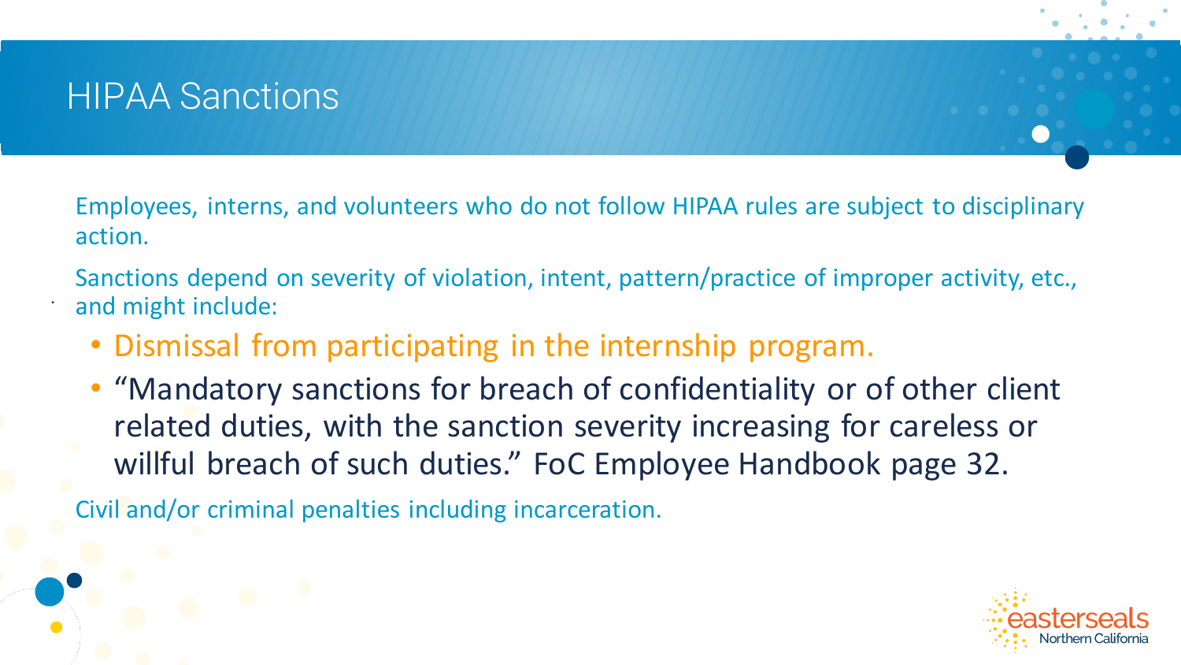### HIPAA Sanctions

.

Employees, interns, and volunteers who do not follow HIPAA rules are subject to disciplinary action.

Sanctions depend on severity of violation, intent, pattern/practice of improper activity, etc., and might include:

- Dismissal from participating in the internship program.
- "Mandatory sanctions for breach of confidentiality or of other client related duties, with the sanction severity increasing for careless or willful breach of such duties." FoC Employee Handbook page 32.

Civil and/or criminal penalties including incarceration.

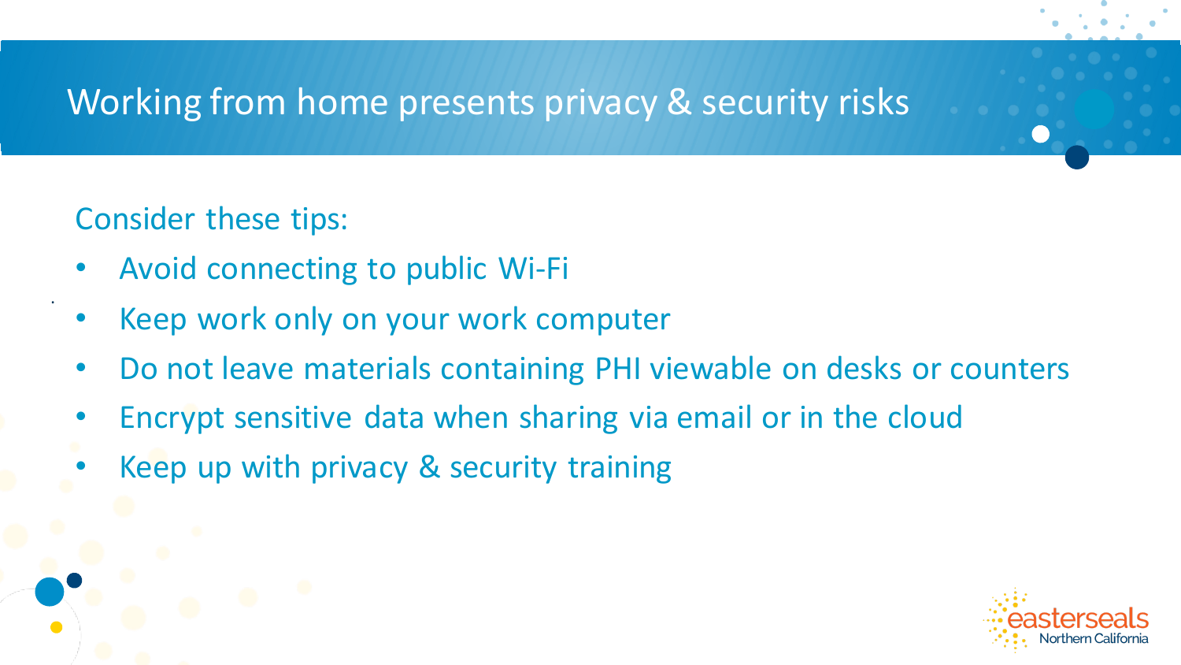### Working from home presents privacy & security risks

### Consider these tips:

- Avoid connecting to public Wi-Fi
- Keep work only on your work computer
- Do not leave materials containing PHI viewable on desks or counters
- Encrypt sensitive data when sharing via email or in the cloud
- Keep up with privacy & security training

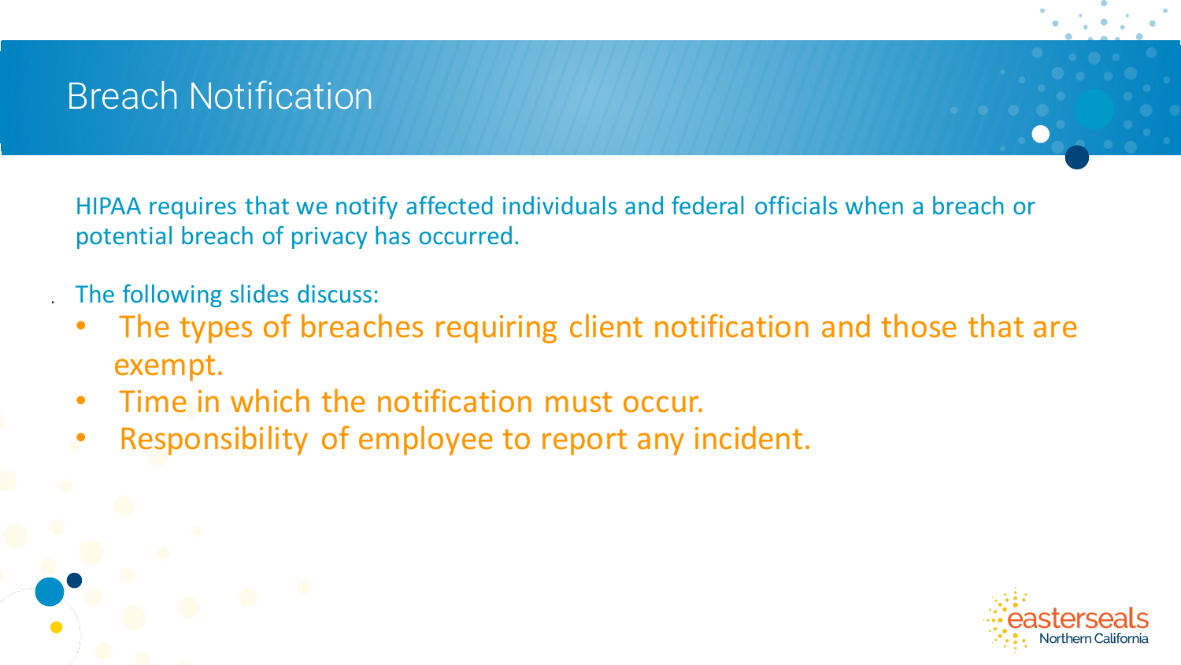# Breach Notification

HIPAA requires that we notify affected individuals and federal officials when a breach or potential breach of privacy has occurred.

The following slides discuss:

- The types of breaches requiring client notification and those that are exempt.
- Time in which the notification must occur.
- Responsibility of employee to report any incident.

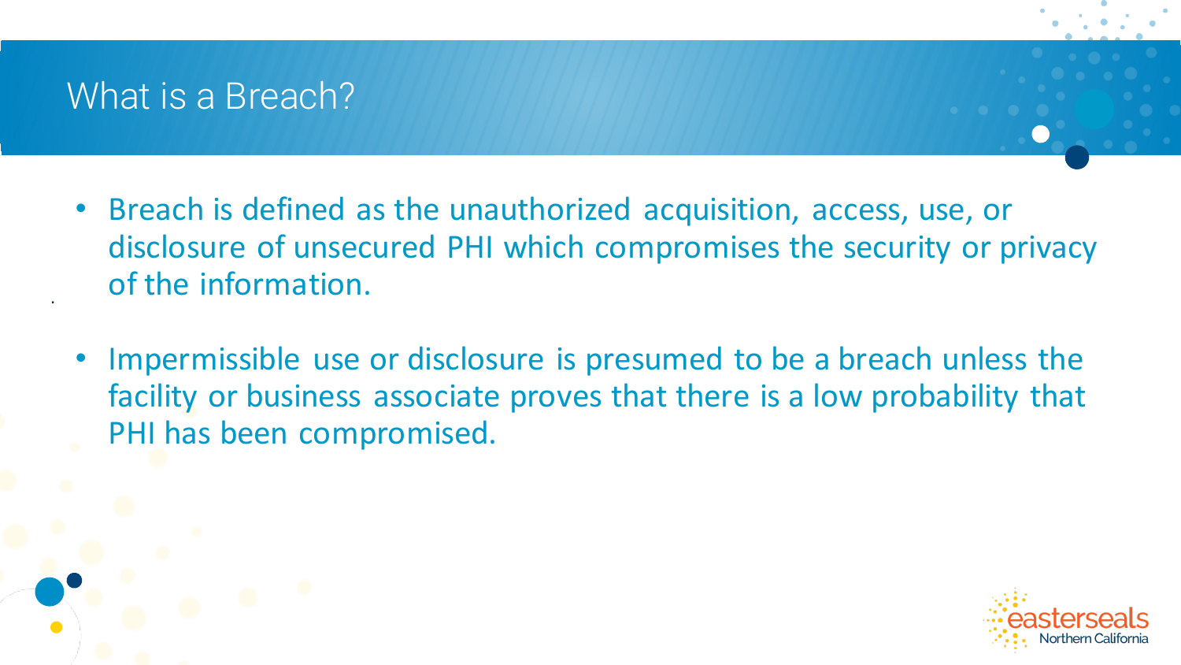### What is a Breach?

- Breach is defined as the unauthorized acquisition, access, use, or disclosure of unsecured PHI which compromises the security or privacy of the information.
- Impermissible use or disclosure is presumed to be a breach unless the facility or business associate proves that there is a low probability that PHI has been compromised.

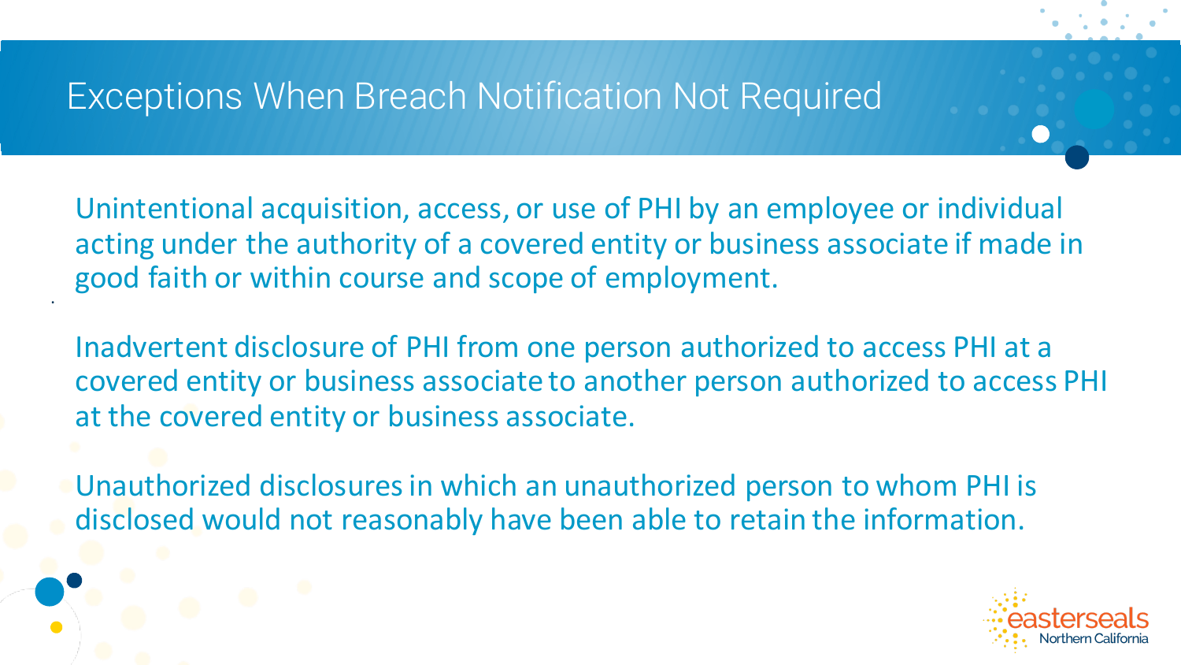### Exceptions When Breach Notification Not Required

.

Unintentional acquisition, access, or use of PHI by an employee or individual acting under the authority of a covered entity or business associate if made in good faith or within course and scope of employment.

Inadvertent disclosure of PHI from one person authorized to access PHI at a covered entity or business associate to another person authorized to access PHI at the covered entity or business associate.

Unauthorized disclosures in which an unauthorized person to whom PHI is disclosed would not reasonably have been able to retain the information.

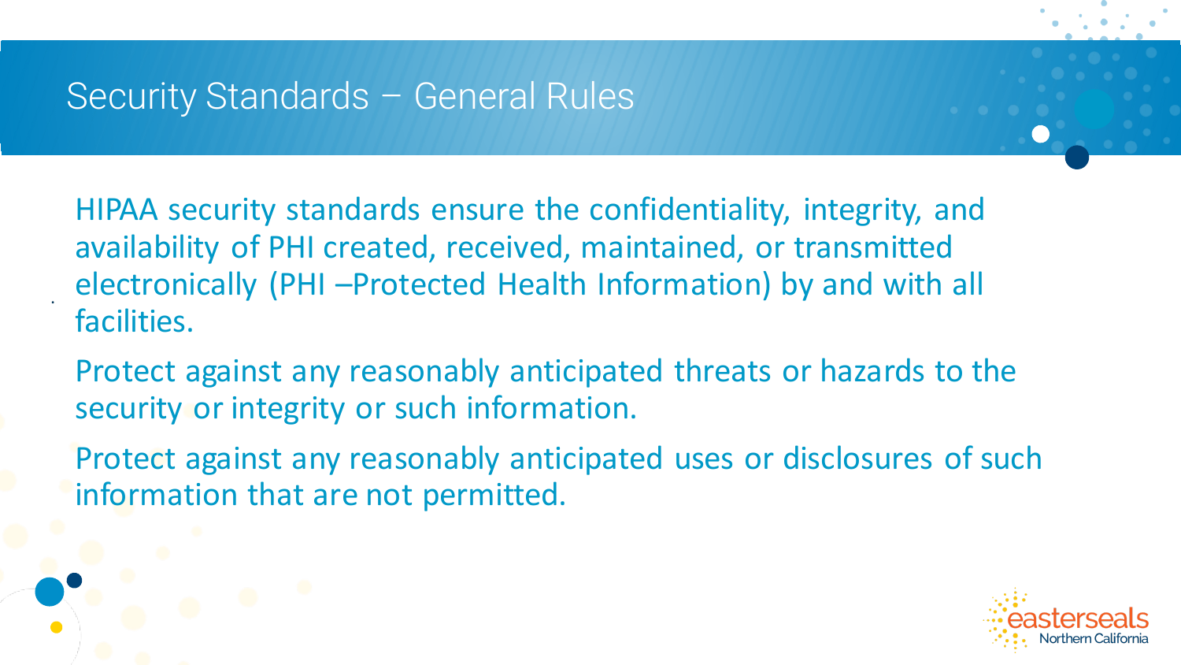### Security Standards – General Rules

.

HIPAA security standards ensure the confidentiality, integrity, and availability of PHI created, received, maintained, or transmitted electronically (PHI –Protected Health Information) by and with all facilities.

Protect against any reasonably anticipated threats or hazards to the security or integrity or such information.

Protect against any reasonably anticipated uses or disclosures of such information that are not permitted.

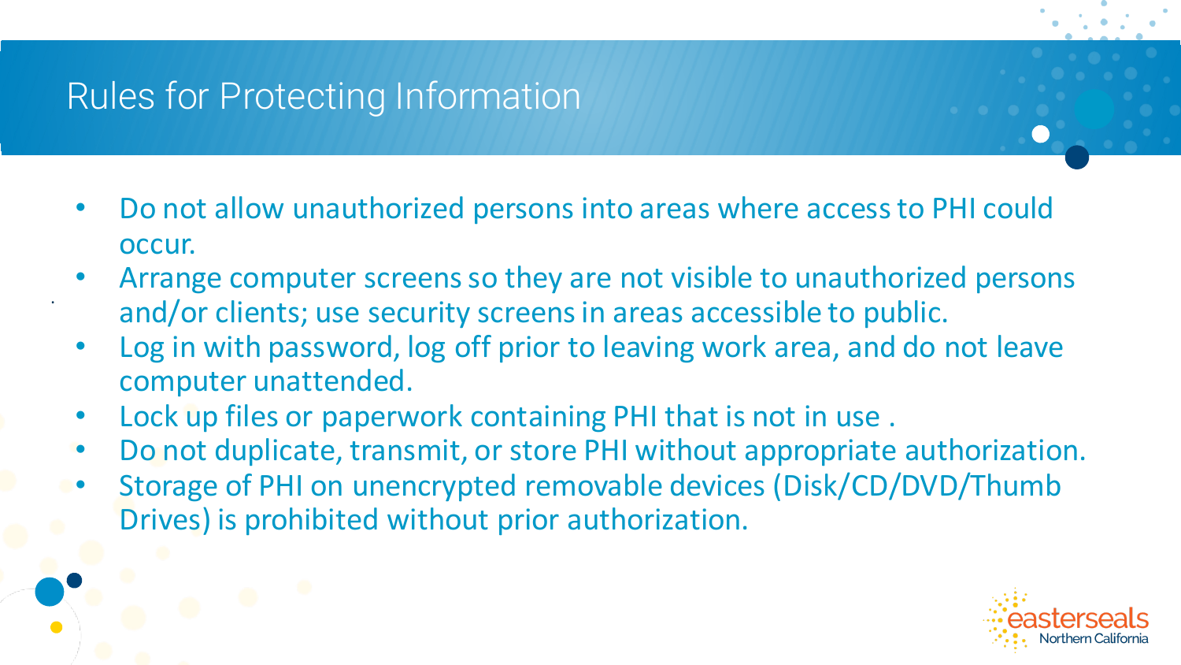# Rules for Protecting Information

- Do not allow unauthorized persons into areas where access to PHI could occur.
- Arrange computer screens so they are not visible to unauthorized persons and/or clients; use security screens in areas accessible to public.
- Log in with password, log off prior to leaving work area, and do not leave computer unattended.
- Lock up files or paperwork containing PHI that is not in use .
- Do not duplicate, transmit, or store PHI without appropriate authorization.
- Storage of PHI on unencrypted removable devices (Disk/CD/DVD/Thumb Drives) is prohibited without prior authorization.

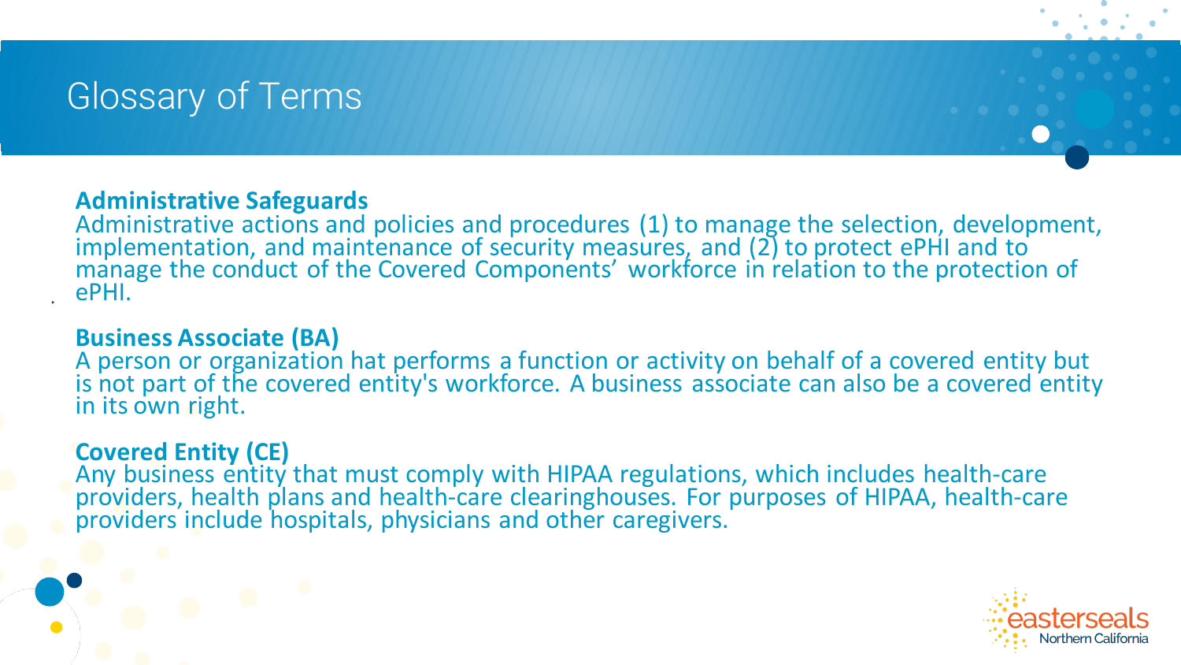### Glossary of Terms

#### **Administrative Safeguards**

Administrative actions and policies and procedures (1) to manage the selection, development, implementation, and maintenance of security measures, and (2) to protect ePHI and to manage the conduct of the Covered Components' workforce in relation to the protection of ePHI.

#### **Business Associate (BA)**

.

A person or organization hat performs a function or activity on behalf of a covered entity but is not part of the covered entity's workforce. A business associate can also be a covered entity in its own right.

#### **Covered Entity (CE)**

Any business entity that must comply with HIPAA regulations, which includes health-care providers, health plans and health-care clearinghouses. For purposes of HIPAA, health-care providers include hospitals, physicians and other caregivers.

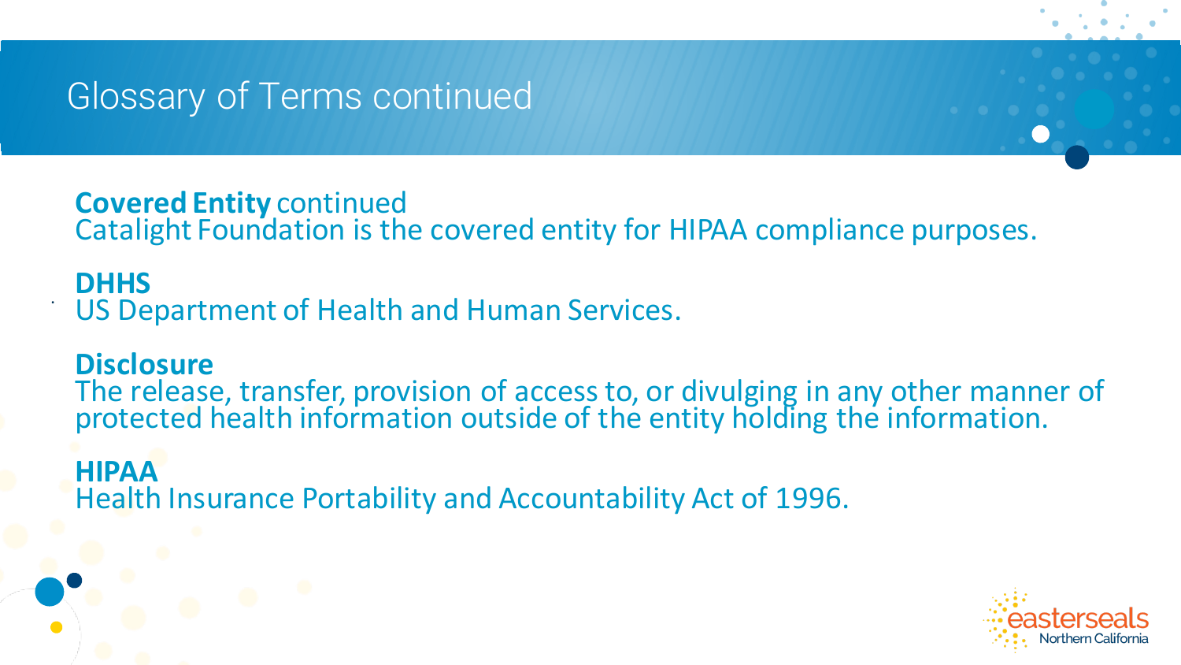.

**Covered Entity** continued Catalight Foundation is the covered entity for HIPAA compliance purposes.

### **DHHS** US Department of Health and Human Services.

**Disclosure** The release, transfer, provision of access to, or divulging in any other manner of protected health information outside of the entity holding the information.

**HIPAA** Health Insurance Portability and Accountability Act of 1996.

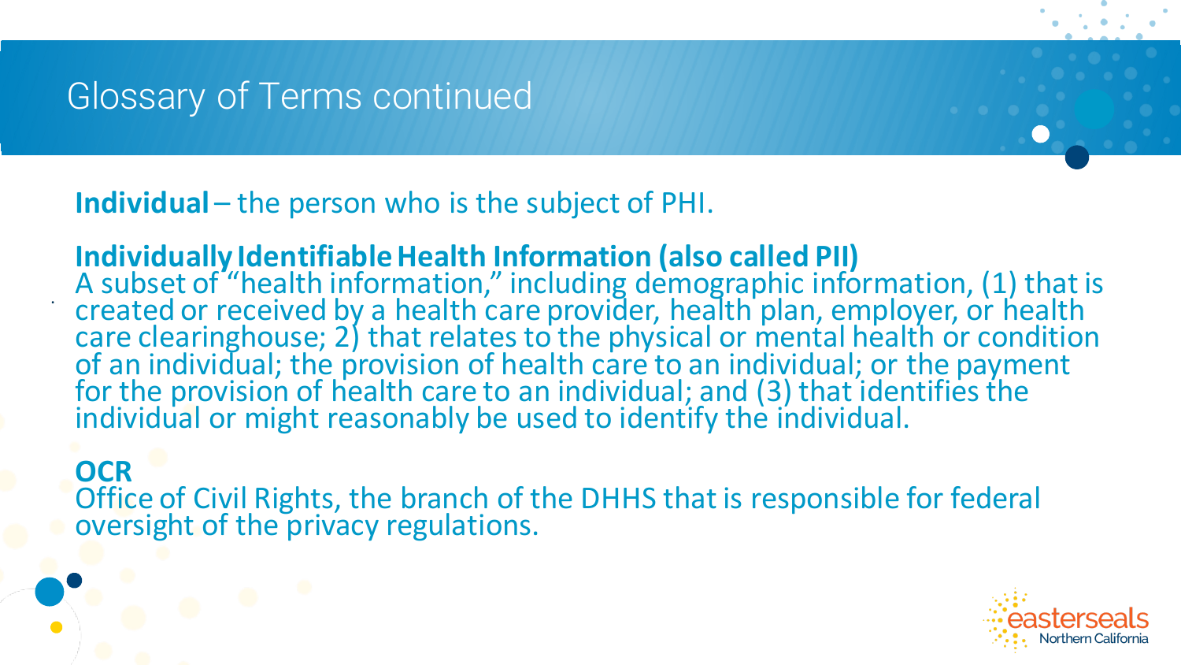.

**Individual** – the person who is the subject of PHI.

**Individually Identifiable Health Information (also called PII)** A subset of "health information," including demographic information, (1) that is created or received by a health care provider, health plan, employer, or health care clearinghouse; 2) that relates to the physical or mental health or condition of an individual; the provision of health care to an individual; or the payment for the provision of health care to an individual; and (3) that identifies the individual or might reasonably be used to identify the individual.

**OCR** Office of Civil Rights, the branch of the DHHS that is responsible for federal oversight of the privacy regulations.

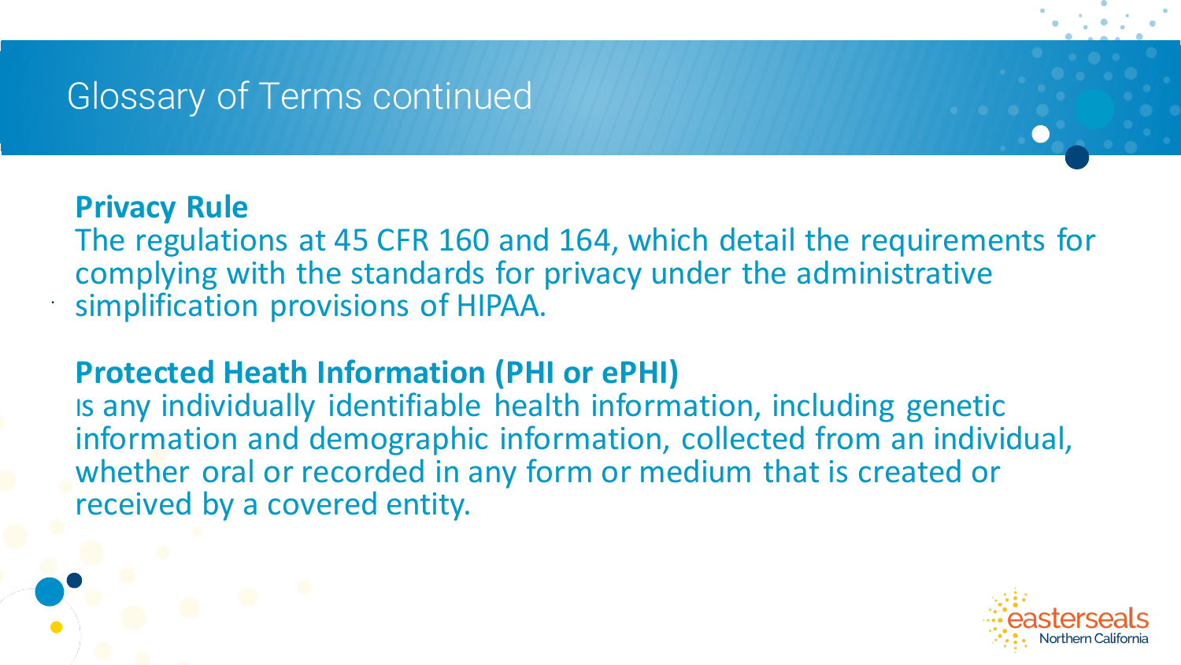### **Privacy Rule**

.

The regulations at 45 CFR 160 and 164, which detail the requirements for complying with the standards for privacy under the administrative simplification provisions of HIPAA.

### **Protected Heath Information (PHI or ePHI)**

Is any individually identifiable health information, including genetic information and demographic information, collected from an individual, whether oral or recorded in any form or medium that is created or received by a covered entity.

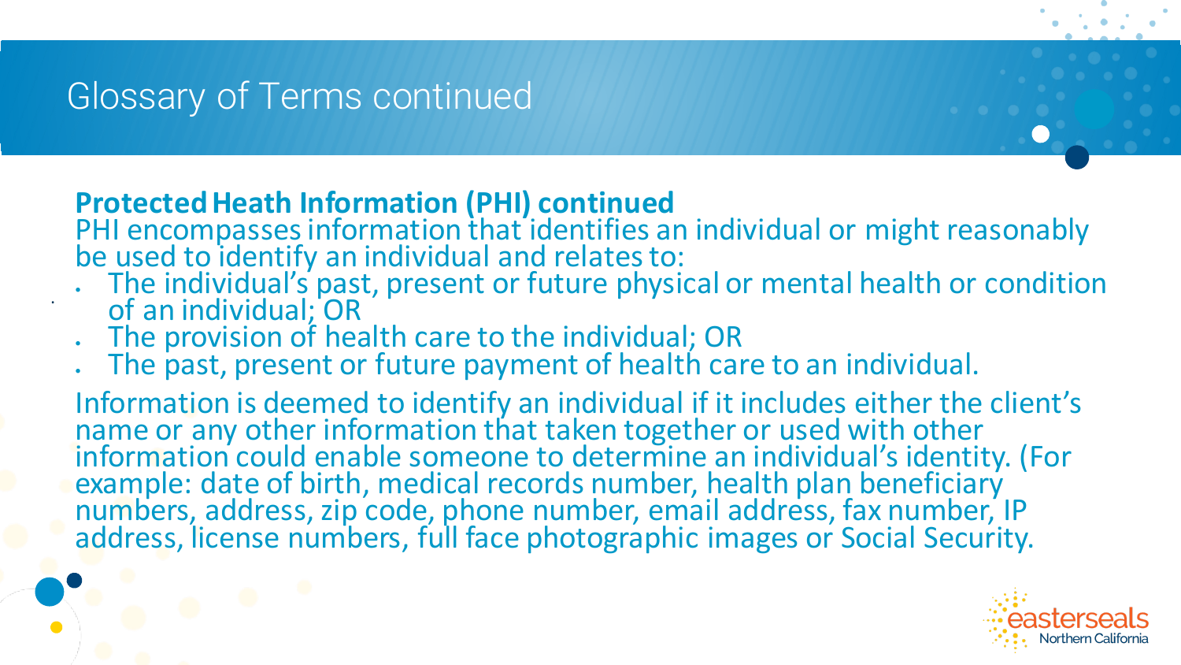.

### **Protected Heath Information (PHI) continued**

PHI encompasses information that identifies an individual or might reasonably be used to identify an individual and relates to:

- . The individual's past, present or future physical or mental health or condition of an individual; OR
- The provision of health care to the individual; OR
- The past, present or future payment of health care to an individual.

Information is deemed to identify an individual if it includes either the client's name or any other information that taken together or used with other information could enable someone to determine an individual's identity. (For example: date of birth, medical records number, health plan beneficiary numbers, address, zip code, phone number, email address, fax number, IP address, license numbers, full face photographic images or Social Security.